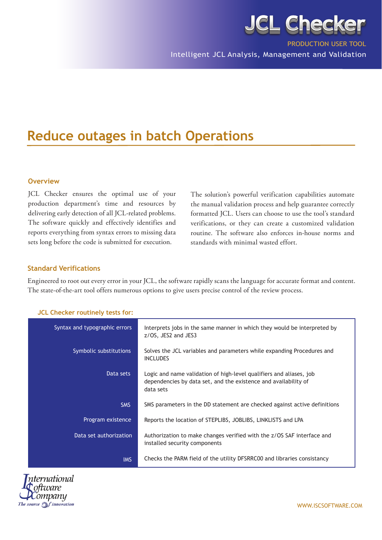

Intelligent JCL Analysis, Management and Validation

# **Reduce outages in batch Operations**

## **Overview**

JCL Checker ensures the optimal use of your production department's time and resources by delivering early detection of all JCL-related problems. The software quickly and effectively identifies and reports everything from syntax errors to missing data sets long before the code is submitted for execution.

The solution's powerful verification capabilities automate the manual validation process and help guarantee correctly formatted JCL. Users can choose to use the tool's standard verifications, or they can create a customized validation routine. The software also enforces in-house norms and standards with minimal wasted effort.

#### **Standard Verifications**

Engineered to root out every error in your JCL, the software rapidly scans the language for accurate format and content. The state-of-the-art tool offers numerous options to give users precise control of the review process.

| Syntax and typographic errors | Interprets jobs in the same manner in which they would be interpreted by<br>z/OS, JES2 and JES3                                                     |
|-------------------------------|-----------------------------------------------------------------------------------------------------------------------------------------------------|
| Symbolic substitutions        | Solves the JCL variables and parameters while expanding Procedures and<br><b>INCLUDES</b>                                                           |
| Data sets                     | Logic and name validation of high-level qualifiers and aliases, job<br>dependencies by data set, and the existence and availability of<br>data sets |
| <b>SMS</b>                    | SMS parameters in the DD statement are checked against active definitions                                                                           |
| Program existence             | Reports the location of STEPLIBS, JOBLIBS, LINKLISTS and LPA                                                                                        |
| Data set authorization        | Authorization to make changes verified with the z/OS SAF interface and<br>installed security components                                             |
| <b>IMS</b>                    | Checks the PARM field of the utility DFSRRC00 and libraries consistancy                                                                             |

## **JCL Checker routinely tests for:**



WWW.ISCSOFTWARE.COM